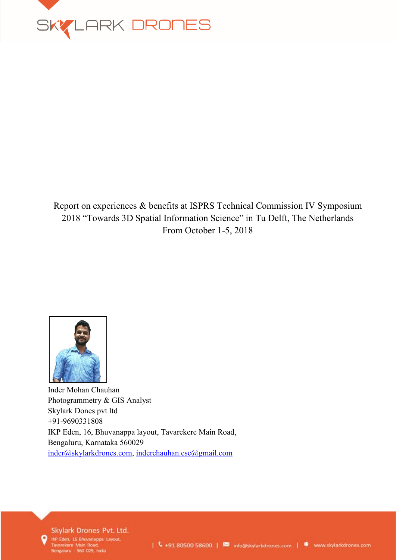

## Report on experiences & benefits at ISPRS Technical Commission IV Symposium 2018 "Towards 3D Spatial Information Science" in Tu Delft, The Netherlands From October 1-5, 2018



Inder Mohan Chauhan Photogrammetry & GIS Analyst Skylark Dones pvt ltd +91-9690331808 IKP Eden, 16, Bhuvanappa layout, Tavarekere Main Road, Bengaluru, Karnataka 560029 [inder@skylarkdrones.com,](mailto:inder@skylarkdrones.com) [inderchauhan.esc@gmail.com](mailto:inderchauhan.esc@gmail.com)

Skylark Drones Pvt. Ltd.

IKP Eden, 16 Bhuvanappa Layout, Tavarekere Main Road,<br>Bengaluru - 560 029, India